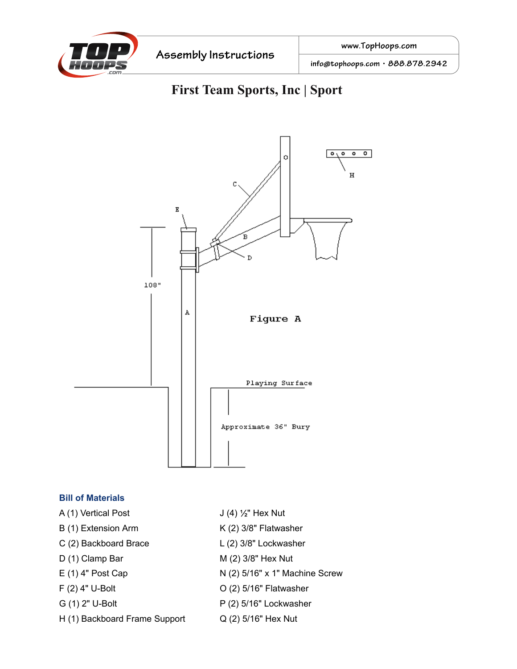

## **First Team Sports, Inc | Sport**